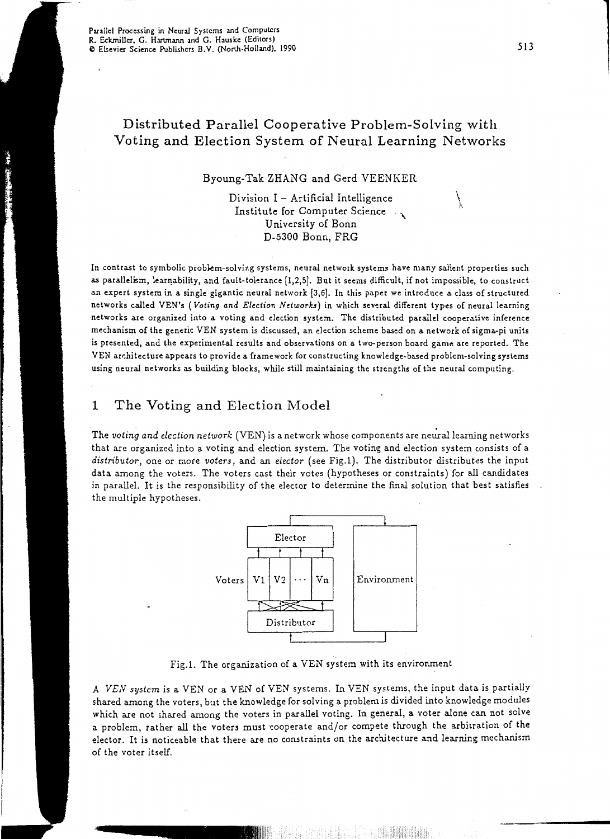# Distributed Parallel Cooperative Problem-Solving with Voting and Election System of Neural Learning Networks

#### Byoung-Tak ZHANG and Gerd VEENKER

Division  $I -$  Artificial Intelligence Institute for Computer Science<br>Institute for Computer Science University of Bonn D-5300 Bonn, FRG

In contrast to symbolic probkm-solving systems, neural network systems have many salient properties such as parallelism, learnability, and fault-tolerance [1,2,5]. But it seems difficult, if not impossible, to construct an expert system in a single gigantic neural network [3,6]. In this paper we introduce a class of structured networks called YEN's *(Voting and Election Network.!)* in which several different types of neural learning networks are organized into a voting and election system. The distributed parallel cooperative inference mechanism of the generic VEN system is discussed, an election scheme based on a network of sigma-pi units is presented, and the experimental results and observations on a two-person board game are reported. The YEN arr:hitecture appears to provide a framework for constructing knowledge-based problem-solving systems using neural networks as building blocks, while still maintaining the strengths of the neural computing.

## 1 The Voting and Election Model

The *voting and election network* (VEN) is a network whose components are neural learning networks that are organized into a voting and election system. The voting and election system consists of a *distributor,* one or more *voters,* and an *elector* (see Fig.l). The distributor distributes the input data among the voters. The voters cast their votes (hypotheses or constraints) for all candidates in parallel. It is the responsibility of the elector to determine the final solution that best satisfies the multiple hypotheses.



Fig.1. The organization of a VEN system with its environment

A *VEN system* is a VEN or a VEN of VEN systems. In VEN systems, the input data is partially shared among the voters, but the knowledge for solving a problem is divided into knowledge modules which are not shared among the voters in parallel voting. In general, a voter alone can not solve a problem, rather all the voters must 'cooperate and/or compete through the arbitration of the elector. It is noticeable that there are no constraints on the architecture and learning mechanism of the voter itself.

 $\int$  $\epsilon$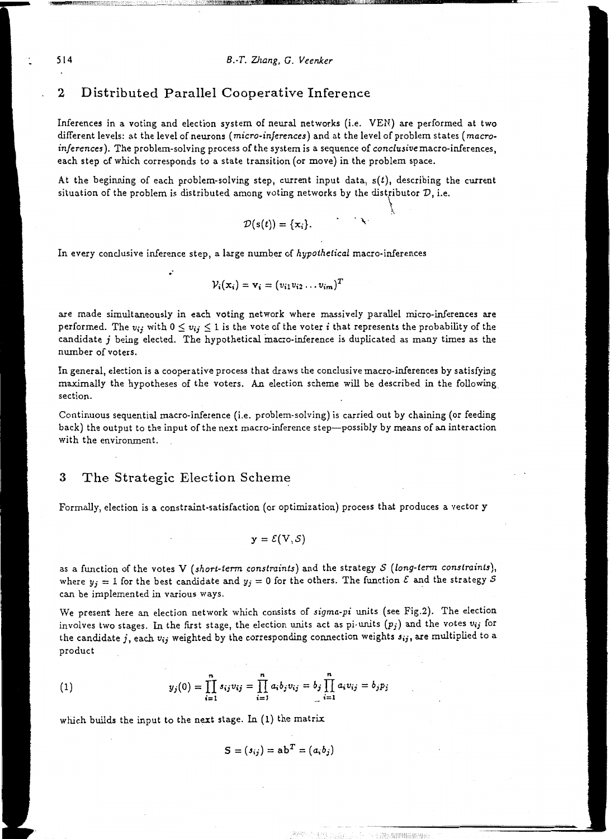auum!UDIBL'DD11111118111k!lluJ~llil.illllliiW!lllllltl!!l!ll!llllUIIIIIIIIIIIm-lllllllllllllllllllllll--------· :\_ \_\_\_\_\_\_ \_

 $\mathfrak{h}$ 

## 2 Distributed Parallel Cooperative Inference

Inferences in a voting and election system of neural networks (i.e. VEN) are performed at two different levels: at the level of neurons *(micro-inferences)* and at the level of problem states *(macroinferences).* The problem-solving process of the system is a sequence of *conclusive* macro-inferences, each step of which corresponds to a state transition (or move) in the problem space.

At the beginning of each problem-solving step, current input data,  $s(t)$ , describing the current situation of the problem is distributed among voting networks by the distributor  $D$ , *i.e.*  $\int$ 

$$
\mathcal{D}(s(t)) = \{x_i\}.
$$

In every conclusive inference step, a large number of *hypothetical* macro-inferences

$$
\mathcal{V}_i(\mathbf{x}_i) = \mathbf{v}_i = (v_{i1}v_{i2} \ldots v_{im})^T
$$

are made simultaneously in each voting network where massively parallel micro-inferences are performed. The  $v_{ij}$  with  $0 \le v_{ij} \le 1$  is the vote of the voter *i* that represents the probability of the candidate j being elected. The hypothetical macro-inference is duplicated as many times as the number of voters.

In general, election is a cooperative process that draws the conclusive macro-inferences by satisfying maximally the hypotheses of the voters. An election scheme will be described in the following section.

Continuous sequential macro-inference (i.e. problem-solving) is carried out by chaining (or feeding back) the output to the input of the next macro-inference step--possibly by means of an interaction with the environment.

### 3 The Strategic Election Scheme

•·

Formally, election is a constraint-satisfaction (or optimization) process that produces a vector y

$$
\mathbf{y} = \mathcal{E}(\mathbf{V}, \mathcal{S})
$$

as a function of the votes V *(short-term constraints)* and the strategy *S {long-term constraints),*  where  $y_j = 1$  for the best candidate and  $y_j = 0$  for the others. The function  $\mathcal E$  and the strategy  $\mathcal S$ can be implemented in various ways.

We present here an election network which consists of *sigma-pi* units (see Fig.2). The election involves two stages. In the first stage, the election units act as pi-units *(pj)* and the votes *Vij* for the candidate  $j,$  each  $v_{ij}$  weighted by the corresponding connection weights  $s_{ij},$  are multiplied to a product

(1) 
$$
y_j(0) = \prod_{i=1}^n s_{ij}v_{ij} = \prod_{i=1}^n a_i b_j v_{ij} = b_j \prod_{i=1}^n a_i v_{ij} = b_j p_j
$$

which builds the input to the next stage. In (1) the matrix

$$
S = (s_{ij}) = ab^T = (a_i b_j)
$$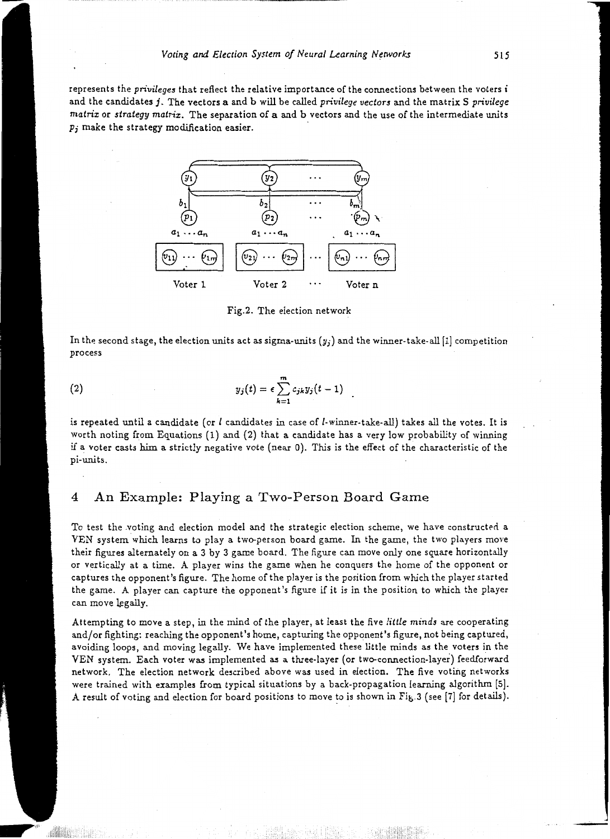represents the *privileges* that reflect the relative importance of the connections between the voters *i* and the candidates j. The vectors a and b will be called *privilege vectors* and the matrix S *privilege matrix* or *strategy matrix*. The separation of a and b vectors and the use of the intermediate units  $p_j$  make the strategy modification easier.



Fig.2. The election network

In the second stage, the election units act as sigma-units *(y;)* and the winner-take-all (1] competition process

(2) 
$$
y_j(t) = \epsilon \sum_{k=1}^m c_{jk} y_j(t-1)
$$

-

~,,,,,,

is repeated until a candidate (or  $l$  candidates in case of  $l$ -winner-take-all) takes all the votes. It is worth noting from Equations (1) and (2) that a candidate has a very low probability of winning if a voter casts him a strictly negative vote (near 0). This is the effect of the characteristic of the pi-units.

#### 4 An Example: Playing a Two-Person Board Game

To test the voting and election model and the strategic election scheme, we have constructed a YEN system which learns to play a two-person board game. In the game, the two players move their figures alternately on a 3 by 3 game board. The figure can move only one square horizontally or vertically at a time. A player wins the game when he conquers the home of the opponent or captures the opponent's figure. The home of the player is the position from which the player started the game. A player can capture the opponent's figure if it is in the position to which the player can move legally.

Attempting to move a step, in the mind of the player, at least the five *little minds* are cooperating and/or fighting: reaching the opponent's home, capturing the opponent's figure, not being captured, avoiding loops, and moving legally. We have implemented these little minds as the voters in the VEN system. Each voter was implemented as a three-layer (or two-connection-layer) feedforward network. The election network described above was used in election. The five voting networks were trained with examples from typical situations by a back-propagation learning algorithm [5]. A result of voting and election for board positions to move to *is* shown in Fit,.3 (see [7] for details).